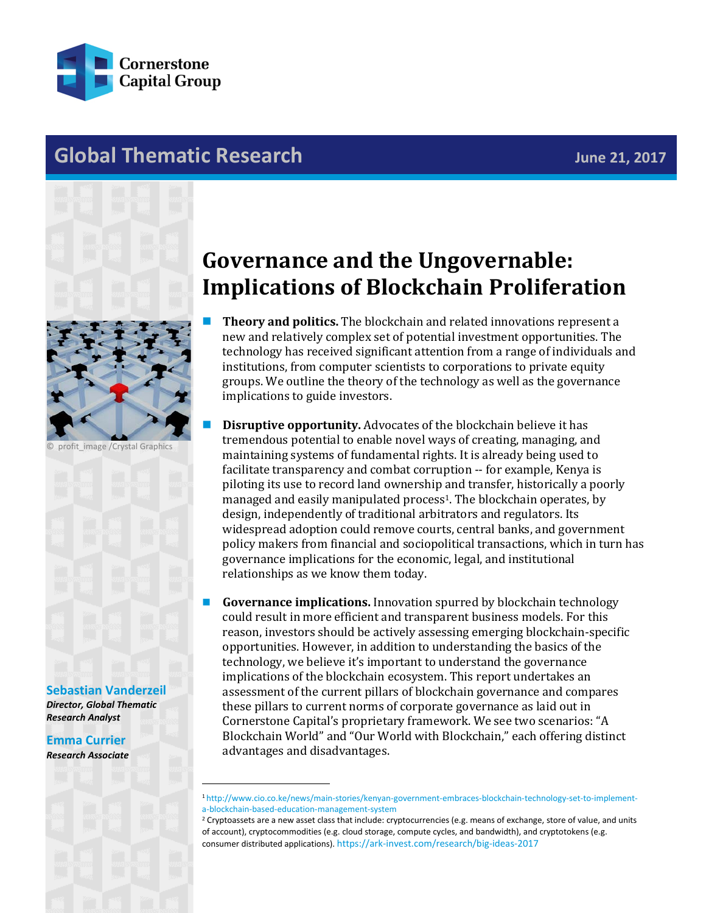

# **Global Thematic Research June 21, 2017**



profit\_image /Crystal Graphics

#### **[Sebastian Vanderzeil](mailto:sebastian.vanderzeil@cornerstonecapinc.com)**

*Director, Global Thematic Research Analyst*

**[Emma Currier](mailto:emma.currier@cornerstonecapinc.com)** *Research Associate*

# **Governance and the Ungovernable: Implications of Blockchain Proliferation**

- **Theory and politics.** The blockchain and related innovations represent a new and relatively complex set of potential investment opportunities. The technology has received significant attention from a range of individuals and institutions, from computer scientists to corporations to private equity groups. We outline the theory of the technology as well as the governance implications to guide investors.
	- **Disruptive opportunity.** Advocates of the blockchain believe it has tremendous potential to enable novel ways of creating, managing, and maintaining systems of fundamental rights. It is already being used to facilitate transparency and combat corruption -- for example, Kenya is piloting its use to record land ownership and transfer, historically a poorly managed and easily manipulated process<sup>1</sup>. The blockchain operates, by design, independently of traditional arbitrators and regulators. Its widespread adoption could remove courts, central banks, and government policy makers from financial and sociopolitical transactions, which in turn has governance implications for the economic, legal, and institutional relationships as we know them today.
- **Governance implications.** Innovation spurred by blockchain technology could result in more efficient and transparent business models. For this reason, investors should be actively assessing emerging blockchain-specific opportunities. However, in addition to understanding the basics of the technology, we believe it's important to understand the governance implications of the blockchain ecosystem. This report undertakes an assessment of the current pillars of blockchain governance and compares these pillars to current norms of corporate governance as laid out in Cornerstone Capital's proprietary framework. We see two scenarios: "A Blockchain World" and "Our World with Blockchain," each offering distinct advantages and disadvantages.

\_\_\_\_\_\_\_\_\_\_\_\_\_\_\_\_\_\_\_\_\_\_\_\_\_\_\_\_\_\_

[<sup>1</sup> http://www.cio.co.ke/news/main-stories/kenyan-government-embraces-blockchain-technology-set-to-implement](http://www.cio.co.ke/news/main-stories/kenyan-government-embraces-blockchain-technology-set-to-implement-a-blockchain-based-education-management-system)[a-blockchain-based-education-management-system](http://www.cio.co.ke/news/main-stories/kenyan-government-embraces-blockchain-technology-set-to-implement-a-blockchain-based-education-management-system)

 $2$  Cryptoassets are a new asset class that include: cryptocurrencies (e.g. means of exchange, store of value, and units of account), cryptocommodities (e.g. cloud storage, compute cycles, and bandwidth), and cryptotokens (e.g. consumer distributed applications)[. https://ark-invest.com/research/big-ideas-2017](https://ark-invest.com/research/big-ideas-2017)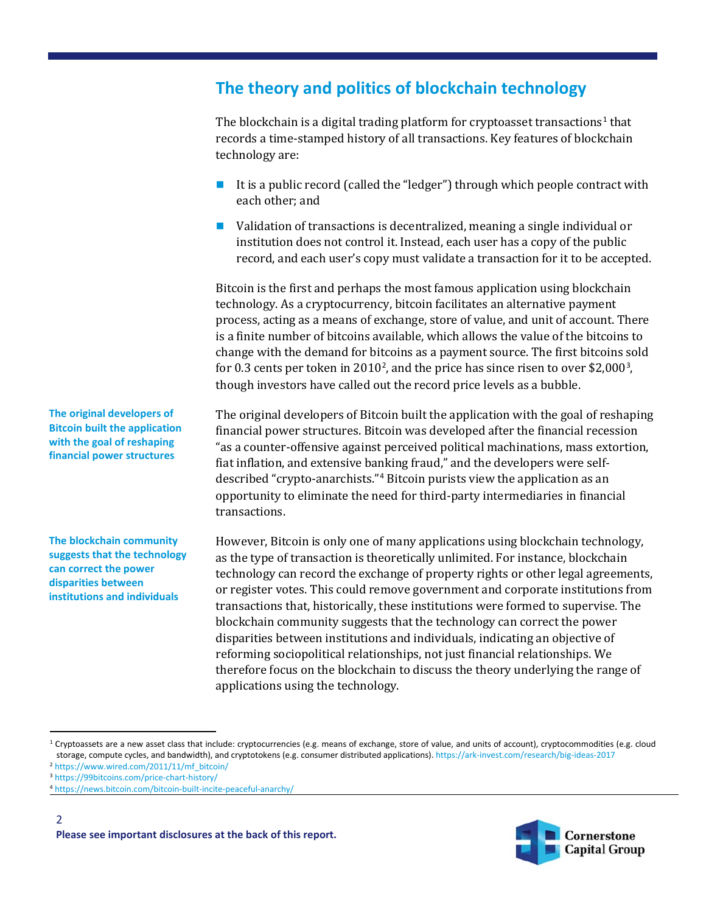# **The theory and politics of blockchain technology**

The blockchain is a digital trading platform for cryptoasset transactions<sup>[1](#page-1-0)</sup> that records a time-stamped history of all transactions. Key features of blockchain technology are:

- It is a public record (called the "ledger") through which people contract with each other; and
- Validation of transactions is decentralized, meaning a single individual or institution does not control it. Instead, each user has a copy of the public record, and each user's copy must validate a transaction for it to be accepted.

Bitcoin is the first and perhaps the most famous application using blockchain technology. As a cryptocurrency, bitcoin facilitates an alternative payment process, acting as a means of exchange, store of value, and unit of account. There is a finite number of bitcoins available, which allows the value of the bitcoins to change with the demand for bitcoins as a payment source. The first bitcoins sold for 0.3 cents per token in [2](#page-1-1)010<sup>2</sup>, and the price has since risen to over \$2,000<sup>[3](#page-1-2)</sup>, though investors have called out the record price levels as a bubble.

The original developers of Bitcoin built the application with the goal of reshaping financial power structures. Bitcoin was developed after the financial recession "as a counter-offensive against perceived political machinations, mass extortion, fiat inflation, and extensive banking fraud," and the developers were selfdescribed "crypto-anarchists."[4](#page-1-3) Bitcoin purists view the application as an opportunity to eliminate the need for third-party intermediaries in financial transactions.

However, Bitcoin is only one of many applications using blockchain technology, as the type of transaction is theoretically unlimited. For instance, blockchain technology can record the exchange of property rights or other legal agreements, or register votes. This could remove government and corporate institutions from transactions that, historically, these institutions were formed to supervise. The blockchain community suggests that the technology can correct the power disparities between institutions and individuals, indicating an objective of reforming sociopolitical relationships, not just financial relationships. We therefore focus on the blockchain to discuss the theory underlying the range of applications using the technology.

<span id="page-1-0"></span><sup>1</sup> Cryptoassets are a new asset class that include: cryptocurrencies (e.g. means of exchange, store of value, and units of account), cryptocommodities (e.g. cloud storage, compute cycles, and bandwidth), and cryptotokens (e.g. consumer distributed applications)[. https://ark-invest.com/research/big-ideas-2017](https://ark-invest.com/research/big-ideas-2017)

<span id="page-1-1"></span><sup>2</sup> [https://www.wired.com/2011/11/mf\\_bitcoin/](https://www.wired.com/2011/11/mf_bitcoin/)



**The original developers of Bitcoin built the application with the goal of reshaping financial power structures**

**The blockchain community suggests that the technology can correct the power disparities between institutions and individuals**

<span id="page-1-2"></span><sup>3</sup> <https://99bitcoins.com/price-chart-history/>

<span id="page-1-3"></span><sup>4</sup> <https://news.bitcoin.com/bitcoin-built-incite-peaceful-anarchy/>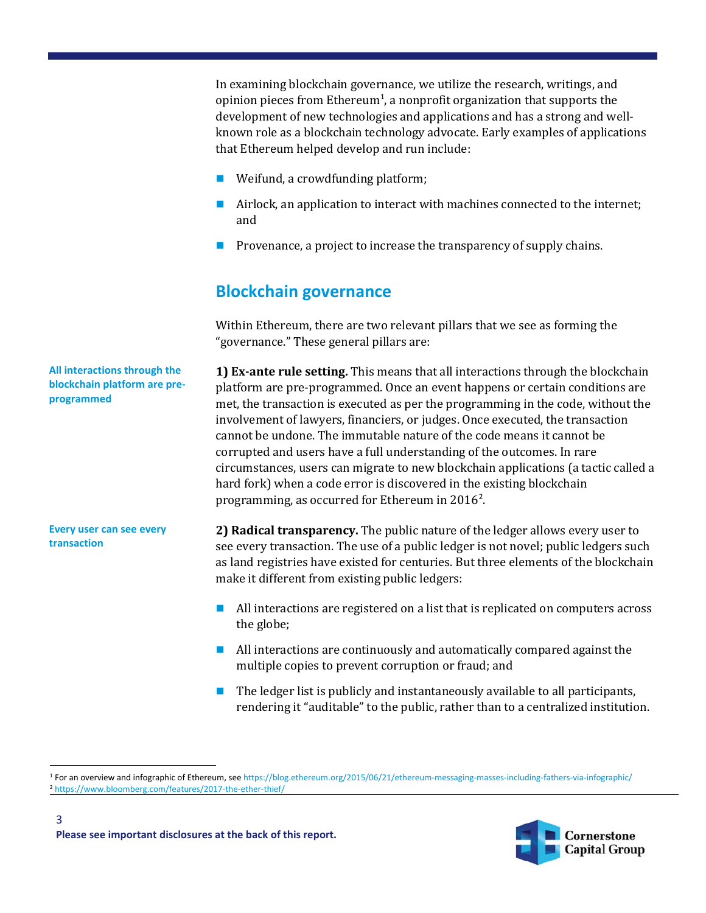In examining blockchain governance, we utilize the research, writings, and opinion pieces from  $\rm Ethernet$ , a nonprofit organization that supports the development of new technologies and applications and has a strong and wellknown role as a blockchain technology advocate. Early examples of applications that Ethereum helped develop and run include:

- Weifund, a crowdfunding platform;
- Airlock, an application to interact with machines connected to the internet; and
- $\blacksquare$  Provenance, a project to increase the transparency of supply chains.

# **Blockchain governance**

Within Ethereum, there are two relevant pillars that we see as forming the "governance." These general pillars are:

**All interactions through the blockchain platform are preprogrammed**

**Every user can see every transaction**

**1) Ex-ante rule setting.** This means that all interactions through the blockchain platform are pre-programmed. Once an event happens or certain conditions are met, the transaction is executed as per the programming in the code, without the involvement of lawyers, financiers, or judges. Once executed, the transaction cannot be undone. The immutable nature of the code means it cannot be corrupted and users have a full understanding of the outcomes. In rare circumstances, users can migrate to new blockchain applications (a tactic called a hard fork) when a code error is discovered in the existing blockchain programming, as occurred for Ethereum in [2](#page-2-1)016<sup>2</sup>.

**2) Radical transparency.** The public nature of the ledger allows every user to see every transaction. The use of a public ledger is not novel; public ledgers such as land registries have existed for centuries. But three elements of the blockchain make it different from existing public ledgers:

- **All interactions are registered on a list that is replicated on computers across** the globe;
- All interactions are continuously and automatically compared against the multiple copies to prevent corruption or fraud; and
- The ledger list is publicly and instantaneously available to all participants, rendering it "auditable" to the public, rather than to a centralized institution.



<span id="page-2-1"></span><span id="page-2-0"></span> <sup>1</sup> For an overview and infographic of Ethereum, se[e https://blog.ethereum.org/2015/06/21/ethereum-messaging-masses-including-fathers-via-infographic/](https://blog.ethereum.org/2015/06/21/ethereum-messaging-masses-including-fathers-via-infographic/) <sup>2</sup> <https://www.bloomberg.com/features/2017-the-ether-thief/>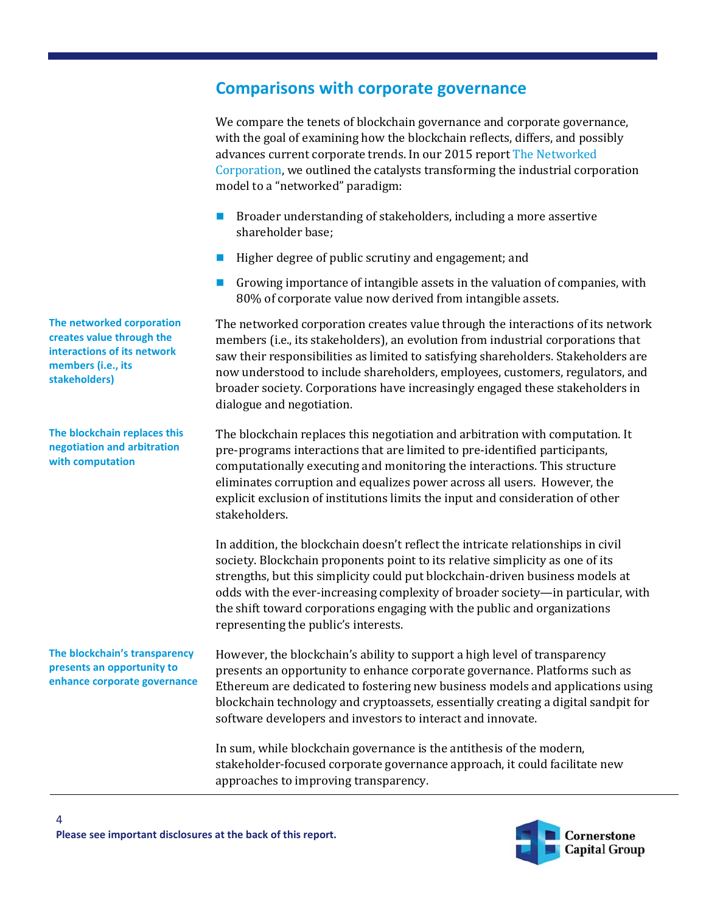#### **Comparisons with corporate governance**

We compare the tenets of blockchain governance and corporate governance, with the goal of examining how the blockchain reflects, differs, and possibly advances current corporate trends. In our 2015 report [The Networked](http://cornerstonecapinc.com/2015/07/flagship-report-the-networked-corporation/)  [Corporation,](http://cornerstonecapinc.com/2015/07/flagship-report-the-networked-corporation/) we outlined the catalysts transforming the industrial corporation model to a "networked" paradigm:

- **Broader understanding of stakeholders, including a more assertive** shareholder base;
- Higher degree of public scrutiny and engagement; and
- Growing importance of intangible assets in the valuation of companies, with 80% of corporate value now derived from intangible assets.

The networked corporation creates value through the interactions of its network members (i.e., its stakeholders), an evolution from industrial corporations that saw their responsibilities as limited to satisfying shareholders. Stakeholders are now understood to include shareholders, employees, customers, regulators, and broader society. Corporations have increasingly engaged these stakeholders in dialogue and negotiation.

The blockchain replaces this negotiation and arbitration with computation. It pre-programs interactions that are limited to pre-identified participants, computationally executing and monitoring the interactions. This structure eliminates corruption and equalizes power across all users. However, the explicit exclusion of institutions limits the input and consideration of other stakeholders.

In addition, the blockchain doesn't reflect the intricate relationships in civil society. Blockchain proponents point to its relative simplicity as one of its strengths, but this simplicity could put blockchain-driven business models at odds with the ever-increasing complexity of broader society—in particular, with the shift toward corporations engaging with the public and organizations representing the public's interests.

However, the blockchain's ability to support a high level of transparency presents an opportunity to enhance corporate governance. Platforms such as Ethereum are dedicated to fostering new business models and applications using blockchain technology and cryptoassets, essentially creating a digital sandpit for software developers and investors to interact and innovate.

In sum, while blockchain governance is the antithesis of the modern, stakeholder-focused corporate governance approach, it could facilitate new approaches to improving transparency.

**The networked corporation creates value through the interactions of its network members (i.e., its stakeholders)**

**The blockchain replaces this negotiation and arbitration with computation**

**The blockchain's transparency presents an opportunity to enhance corporate governance**

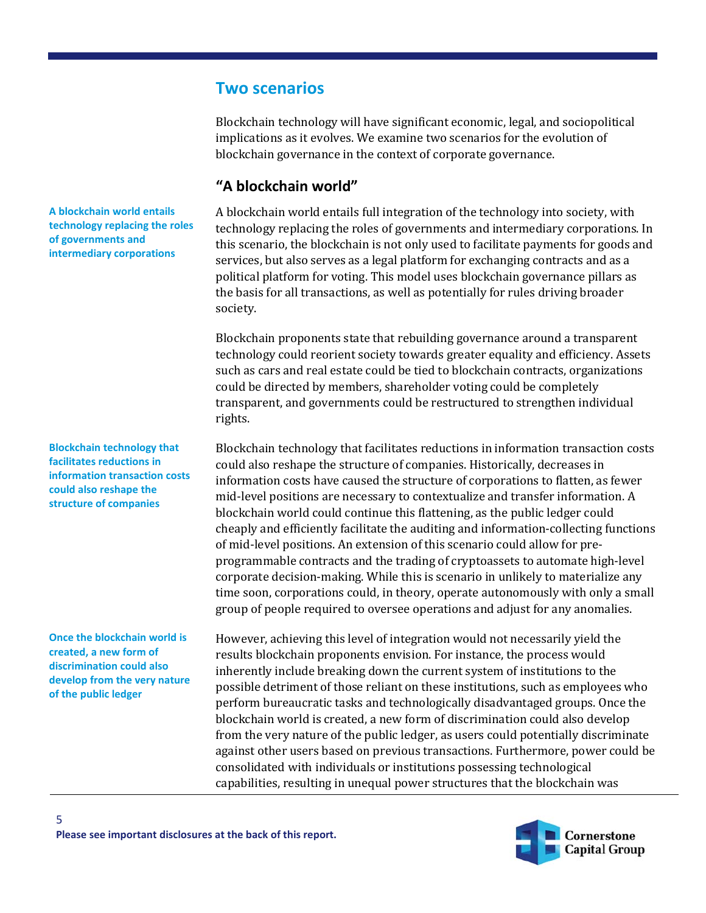### **Two scenarios**

Blockchain technology will have significant economic, legal, and sociopolitical implications as it evolves. We examine two scenarios for the evolution of blockchain governance in the context of corporate governance.

#### **"A blockchain world"**

A blockchain world entails full integration of the technology into society, with technology replacing the roles of governments and intermediary corporations. In this scenario, the blockchain is not only used to facilitate payments for goods and services, but also serves as a legal platform for exchanging contracts and as a political platform for voting. This model uses blockchain governance pillars as the basis for all transactions, as well as potentially for rules driving broader society.

Blockchain proponents state that rebuilding governance around a transparent technology could reorient society towards greater equality and efficiency. Assets such as cars and real estate could be tied to blockchain contracts, organizations could be directed by members, shareholder voting could be completely transparent, and governments could be restructured to strengthen individual rights.

Blockchain technology that facilitates reductions in information transaction costs could also reshape the structure of companies. Historically, decreases in information costs have caused the structure of corporations to flatten, as fewer mid-level positions are necessary to contextualize and transfer information. A blockchain world could continue this flattening, as the public ledger could cheaply and efficiently facilitate the auditing and information-collecting functions of mid-level positions. An extension of this scenario could allow for preprogrammable contracts and the trading of cryptoassets to automate high-level corporate decision-making. While this is scenario in unlikely to materialize any time soon, corporations could, in theory, operate autonomously with only a small group of people required to oversee operations and adjust for any anomalies.

However, achieving this level of integration would not necessarily yield the results blockchain proponents envision. For instance, the process would inherently include breaking down the current system of institutions to the possible detriment of those reliant on these institutions, such as employees who perform bureaucratic tasks and technologically disadvantaged groups. Once the blockchain world is created, a new form of discrimination could also develop from the very nature of the public ledger, as users could potentially discriminate against other users based on previous transactions. Furthermore, power could be consolidated with individuals or institutions possessing technological capabilities, resulting in unequal power structures that the blockchain was



**Blockchain technology that facilitates reductions in information transaction costs could also reshape the structure of companies**

**Once the blockchain world is created, a new form of discrimination could also develop from the very nature of the public ledger**

5



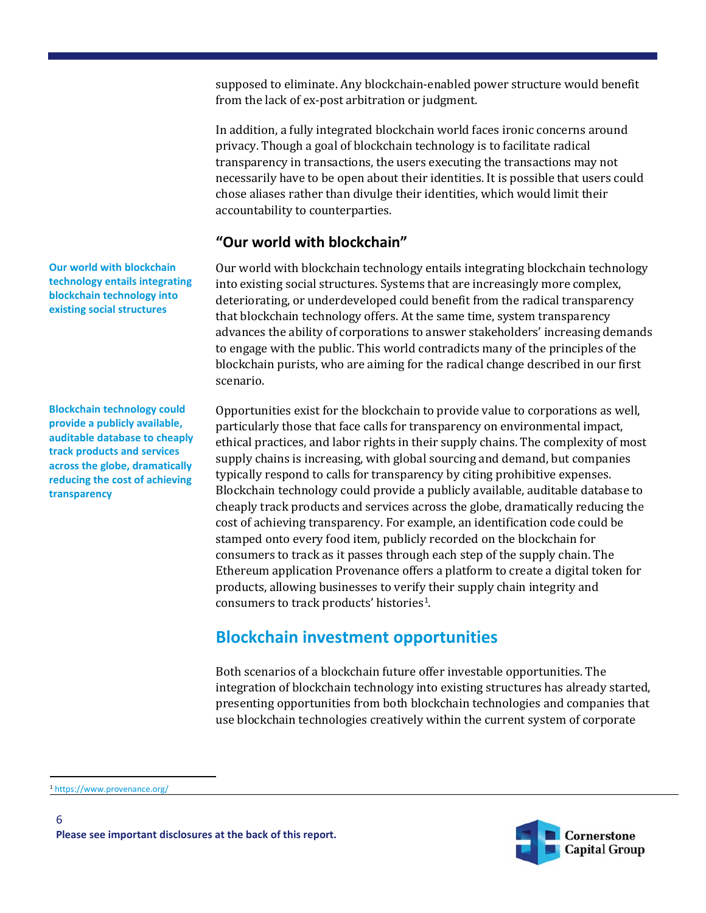supposed to eliminate. Any blockchain-enabled power structure would benefit from the lack of ex-post arbitration or judgment.

In addition, a fully integrated blockchain world faces ironic concerns around privacy. Though a goal of blockchain technology is to facilitate radical transparency in transactions, the users executing the transactions may not necessarily have to be open about their identities. It is possible that users could chose aliases rather than divulge their identities, which would limit their accountability to counterparties.

#### **"Our world with blockchain"**

Our world with blockchain technology entails integrating blockchain technology into existing social structures. Systems that are increasingly more complex, deteriorating, or underdeveloped could benefit from the radical transparency that blockchain technology offers. At the same time, system transparency advances the ability of corporations to answer stakeholders' increasing demands to engage with the public. This world contradicts many of the principles of the blockchain purists, who are aiming for the radical change described in our first scenario.

Opportunities exist for the blockchain to provide value to corporations as well, particularly those that face calls for transparency on environmental impact, ethical practices, and labor rights in their supply chains. The complexity of most supply chains is increasing, with global sourcing and demand, but companies typically respond to calls for transparency by citing prohibitive expenses. Blockchain technology could provide a publicly available, auditable database to cheaply track products and services across the globe, dramatically reducing the cost of achieving transparency. For example, an identification code could be stamped onto every food item, publicly recorded on the blockchain for consumers to track as it passes through each step of the supply chain. The Ethereum application Provenance offers a platform to create a digital token for products, allowing businesses to verify their supply chain integrity and consumers to track products' histories<sup>[1](#page-5-0)</sup>.

# **Blockchain investment opportunities**

Both scenarios of a blockchain future offer investable opportunities. The integration of blockchain technology into existing structures has already started, presenting opportunities from both blockchain technologies and companies that use blockchain technologies creatively within the current system of corporate



**Our world with blockchain technology entails integrating blockchain technology into existing social structures**

**Blockchain technology could provide a publicly available, auditable database to cheaply track products and services across the globe, dramatically reducing the cost of achieving transparency**

<span id="page-5-0"></span> <sup>1</sup> <https://www.provenance.org/>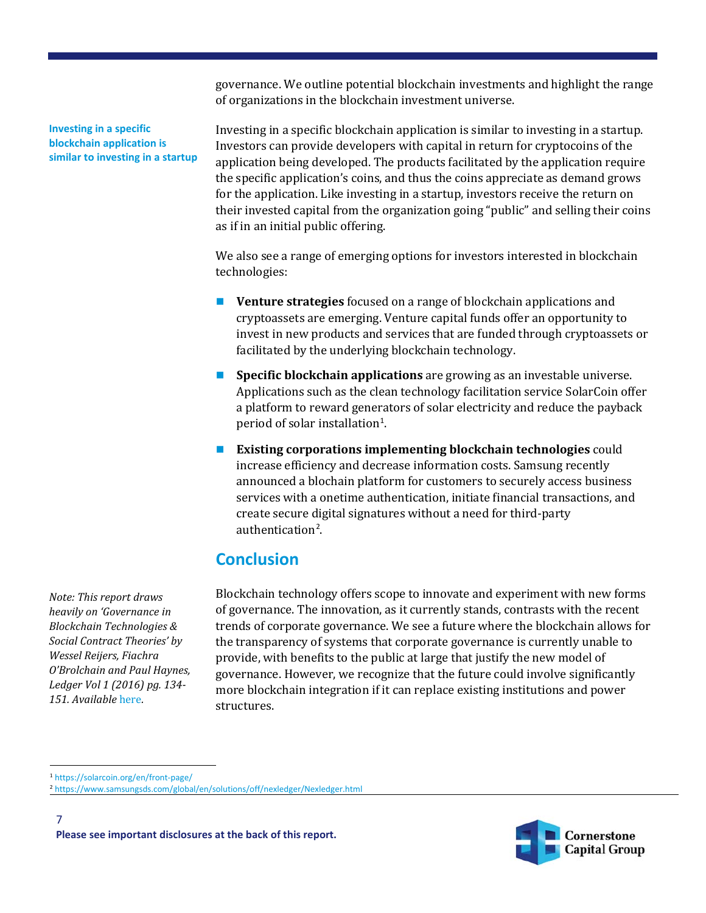governance. We outline potential blockchain investments and highlight the range of organizations in the blockchain investment universe.

**Investing in a specific blockchain application is similar to investing in a startup** Investing in a specific blockchain application is similar to investing in a startup. Investors can provide developers with capital in return for cryptocoins of the application being developed. The products facilitated by the application require the specific application's coins, and thus the coins appreciate as demand grows for the application. Like investing in a startup, investors receive the return on their invested capital from the organization going "public" and selling their coins as if in an initial public offering.

We also see a range of emerging options for investors interested in blockchain technologies:

- **Venture strategies** focused on a range of blockchain applications and cryptoassets are emerging. Venture capital funds offer an opportunity to invest in new products and services that are funded through cryptoassets or facilitated by the underlying blockchain technology.
- **Specific blockchain applications** are growing as an investable universe. Applications such as the clean technology facilitation service SolarCoin offer a platform to reward generators of solar electricity and reduce the payback period of solar installation $^1$  $^1$ .
- **Existing corporations implementing blockchain technologies** could increase efficiency and decrease information costs. Samsung recently announced a blochain platform for customers to securely access business services with a onetime authentication, initiate financial transactions, and create secure digital signatures without a need for third-party authentication<sup>[2](#page-6-1)</sup>.

## **Conclusion**

Blockchain technology offers scope to innovate and experiment with new forms of governance. The innovation, as it currently stands, contrasts with the recent trends of corporate governance. We see a future where the blockchain allows for the transparency of systems that corporate governance is currently unable to provide, with benefits to the public at large that justify the new model of governance. However, we recognize that the future could involve significantly more blockchain integration if it can replace existing institutions and power structures.

*Note: This report draws heavily on 'Governance in Blockchain Technologies & Social Contract Theories' by Wessel Reijers, Fiachra O'Brolchain and Paul Haynes, Ledger Vol 1 (2016) pg. 134-*

*151. Available* [here](http://www.ledgerjournal.org/ojs/index.php/ledger/article/view/62/51)*.*



<span id="page-6-0"></span> <sup>1</sup> <https://solarcoin.org/en/front-page/>

<span id="page-6-1"></span><sup>2</sup> <https://www.samsungsds.com/global/en/solutions/off/nexledger/Nexledger.html>